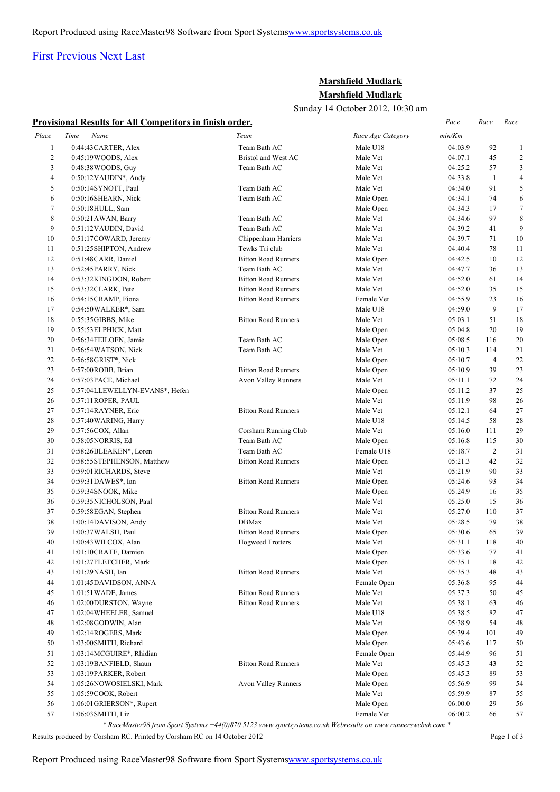# [First](http://www.corshamrunningclub.co.uk/Mudlark/Results/2012/Marshfield Mudlark.html#) [Previous](http://www.corshamrunningclub.co.uk/Mudlark/Results/2012/Marshfield Mudlark.html#) [Next](http://www.corshamrunningclub.co.uk/Mudlark/Results/2012/Marshfield MudlarkPage2.html) [Last](http://www.corshamrunningclub.co.uk/Mudlark/Results/2012/Marshfield MudlarkPage3.html)

## **Marshfield Mudlark Marshfield Mudlark**

Sunday 14 October 2012. 10:30 am

|                |                                                                 |                            | Sunday 14 OCtober 2012, 10.30 am |         |                |                         |
|----------------|-----------------------------------------------------------------|----------------------------|----------------------------------|---------|----------------|-------------------------|
|                | <b>Provisional Results for All Competitors in finish order.</b> |                            |                                  | Pace    | Race           | Race                    |
| Place          | Time<br>Name                                                    | Team                       | Race Age Category                | min/Km  |                |                         |
| $\mathbf{1}$   | 0:44:43 CARTER, Alex                                            | Team Bath AC               | Male U18                         | 04:03.9 | 92             | 1                       |
| $\overline{c}$ | 0:45:19WOODS, Alex                                              | Bristol and West AC        | Male Vet                         | 04:07.1 | 45             | $\overline{\mathbf{c}}$ |
| 3              | 0:48:38 WOODS, Guy                                              | Team Bath AC               | Male Vet                         | 04:25.2 | 57             | 3                       |
| 4              | $0:50:12$ VAUDIN*, Andy                                         |                            | Male Vet                         | 04:33.8 | $\mathbf{1}$   | 4                       |
| 5              | 0:50:14SYNOTT, Paul                                             | Team Bath AC               | Male Vet                         | 04:34.0 | 91             | 5                       |
| 6              | 0:50:16SHEARN, Nick                                             | Team Bath AC               | Male Open                        | 04:34.1 | 74             | 6                       |
| $\tau$         | 0:50:18HULL, Sam                                                |                            | Male Open                        | 04:34.3 | 17             | 7                       |
| 8              | $0:50:21$ AWAN, Barry                                           | Team Bath AC               | Male Vet                         | 04:34.6 | 97             | 8                       |
| 9              | 0:51:12 VAUDIN, David                                           | Team Bath AC               | Male Vet                         | 04:39.2 | 41             | 9                       |
| 10             | 0:51:17COWARD, Jeremy                                           | Chippenham Harriers        | Male Vet                         | 04:39.7 | 71             | 10                      |
| 11             | 0:51:25SHIPTON, Andrew                                          | Tewks Tri club             | Male Vet                         | 04:40.4 | 78             | 11                      |
| 12             | 0:51:48CARR, Daniel                                             | <b>Bitton Road Runners</b> | Male Open                        | 04:42.5 | 10             | 12                      |
| 13             | 0:52:45PARRY, Nick                                              | Team Bath AC               | Male Vet                         | 04:47.7 | 36             | 13                      |
| 14             | 0:53:32KINGDON, Robert                                          | <b>Bitton Road Runners</b> | Male Vet                         | 04:52.0 | 61             | 14                      |
| 15             | $0:53:32CLARK$ , Pete                                           | <b>Bitton Road Runners</b> | Male Vet                         | 04:52.0 | 35             | 15                      |
| 16             | 0:54:15CRAMP, Fiona                                             | <b>Bitton Road Runners</b> | Female Vet                       | 04:55.9 | 23             | 16                      |
| 17             | 0:54:50WALKER*, Sam                                             |                            | Male U18                         | 04:59.0 | 9              | 17                      |
| 18             | 0:55:35GIBBS, Mike                                              | <b>Bitton Road Runners</b> | Male Vet                         | 05:03.1 | 51             | 18                      |
| 19             | 0:55:53 ELPHICK, Matt                                           |                            | Male Open                        | 05:04.8 | 20             | 19                      |
| 20             | 0:56:34FEILOEN, Jamie                                           | Team Bath AC               | Male Open                        | 05:08.5 | 116            | 20                      |
| 21             | 0:56:54WATSON, Nick                                             | Team Bath AC               | Male Vet                         | 05:10.3 | 114            | 21                      |
| 22             | 0:56:58GRIST*, Nick                                             |                            | Male Open                        | 05:10.7 | $\overline{4}$ | 22                      |
| 23             | 0:57:00ROBB, Brian                                              | <b>Bitton Road Runners</b> | Male Open                        | 05:10.9 | 39             | 23                      |
| 24             | 0:57:03PACE, Michael                                            | <b>Avon Valley Runners</b> | Male Vet                         | 05:11.1 | 72             | 24                      |
| 25             | 0:57:04LLEWELLYN-EVANS*, Hefen                                  |                            | Male Open                        | 05:11.2 | 37             | 25                      |
| 26             | 0:57:11 ROPER, PAUL                                             |                            | Male Vet                         | 05:11.9 | 98             | 26                      |
| 27             | 0:57:14RAYNER, Eric                                             | <b>Bitton Road Runners</b> | Male Vet                         | 05:12.1 | 64             | 27                      |
| 28             | 0:57:40 WARING, Harry                                           |                            | Male U18                         | 05:14.5 | 58             | 28                      |
| 29             | 0:57:56COX, Allan                                               | Corsham Running Club       | Male Vet                         | 05:16.0 | 111            | 29                      |
| 30             | 0:58:05NORRIS, Ed                                               | Team Bath AC               | Male Open                        | 05:16.8 | 115            | 30                      |
| 31             | 0:58:26BLEAKEN*, Loren                                          | Team Bath AC               | Female U18                       | 05:18.7 | $\overline{2}$ | 31                      |
| 32             | 0:58:55STEPHENSON, Matthew                                      | <b>Bitton Road Runners</b> | Male Open                        | 05:21.3 | 42             | 32                      |
| 33             | 0:59:01RICHARDS, Steve                                          |                            | Male Vet                         | 05:21.9 | 90             | 33                      |
| 34             | 0:59:31DAWES*, Ian                                              | <b>Bitton Road Runners</b> | Male Open                        | 05:24.6 | 93             | 34                      |
| 35             | 0:59:34SNOOK, Mike                                              |                            | Male Open                        | 05:24.9 | 16             | 35                      |
| 36             | 0:59:35NICHOLSON, Paul                                          |                            | Male Vet                         | 05:25.0 | 15             | 36                      |
| 37             | 0:59:58EGAN, Stephen                                            | <b>Bitton Road Runners</b> | Male Vet                         | 05:27.0 | 110            | 37                      |
| 38             | 1:00:14DAVISON, Andy                                            | <b>DBMax</b>               | Male Vet                         | 05:28.5 | 79             | 38                      |
| 39             | 1:00:37 WALSH, Paul                                             | <b>Bitton Road Runners</b> | Male Open                        | 05:30.6 | 65             | 39                      |
| 40             | 1:00:43 WILCOX, Alan                                            | <b>Hogweed Trotters</b>    | Male Vet                         | 05:31.1 | 118            | 40                      |
| 41             | 1:01:10CRATE, Damien                                            |                            | Male Open                        | 05:33.6 | 77             | 41                      |
| 42             | 1:01:27FLETCHER, Mark                                           |                            | Male Open                        | 05:35.1 | 18             | 42                      |
| 43             | 1:01:29NASH, Ian                                                | <b>Bitton Road Runners</b> | Male Vet                         | 05:35.3 | 48             | 43                      |
| 44             | 1:01:45DAVIDSON, ANNA                                           |                            | Female Open                      | 05:36.8 | 95             | 44                      |
| 45             | 1:01:51 WADE, James                                             | <b>Bitton Road Runners</b> | Male Vet                         | 05:37.3 | 50             | 45                      |
| 46             | 1:02:00DURSTON, Wayne                                           | <b>Bitton Road Runners</b> | Male Vet                         | 05:38.1 | 63             | 46                      |
| 47             | 1:02:04 WHEELER, Samuel                                         |                            | Male U18                         | 05:38.5 | 82             | 47                      |
| 48             | 1:02:08GODWIN, Alan                                             |                            | Male Vet                         | 05:38.9 | 54             | 48                      |
| 49             | 1:02:14ROGERS, Mark                                             |                            | Male Open                        | 05:39.4 | 101            | 49                      |
| 50             | 1:03:00SMITH, Richard                                           |                            | Male Open                        | 05:43.6 | 117            | 50                      |
| 51             | 1:03:14MCGUIRE*, Rhidian                                        |                            | Female Open                      | 05:44.9 | 96             | 51                      |
| 52             | 1:03:19BANFIELD, Shaun                                          | <b>Bitton Road Runners</b> | Male Vet                         | 05:45.3 | 43             | 52                      |
| 53             | 1:03:19PARKER, Robert                                           |                            | Male Open                        | 05:45.3 | 89             | 53                      |
| 54             | 1:05:26NOWOSIELSKI, Mark                                        | Avon Valley Runners        | Male Open                        | 05:56.9 | 99             | 54                      |
| 55             | 1:05:59COOK, Robert                                             |                            | Male Vet                         | 05:59.9 | 87             | 55                      |
| 56             | 1:06:01 GRIERSON*, Rupert                                       |                            | Male Open                        | 06:00.0 | 29             | 56                      |
| 57             | 1:06:03 SMITH, Liz                                              |                            | Female Vet                       | 06:00.2 | 66             | 57                      |
|                |                                                                 |                            |                                  |         |                |                         |

*\* RaceMaster98 from Sport Systems +44(0)870 5123 www.sportsystems.co.uk Webresults on www.runnerswebuk.com \**

Results produced by Corsham RC. Printed by Corsham RC on 14 October 2012 Page 1 of 3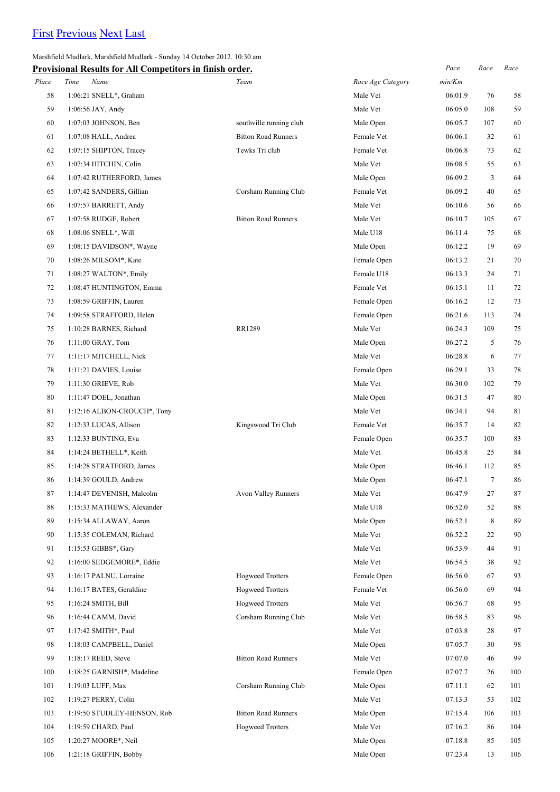# [First](http://www.corshamrunningclub.co.uk/Mudlark/Results/2012/Marshfield Mudlark.html) [Previous](http://www.corshamrunningclub.co.uk/Mudlark/Results/2012/Marshfield Mudlark.html) [Next](http://www.corshamrunningclub.co.uk/Mudlark/Results/2012/Marshfield MudlarkPage3.html) [Last](http://www.corshamrunningclub.co.uk/Mudlark/Results/2012/Marshfield MudlarkPage3.html)

#### Marshfield Mudlark, Marshfield Mudlark - Sunday 14 October 2012. 10:30 am

|       | Provisional Results for All Competitors in finish order. |                            |                   | Pace    | Race   | Race |
|-------|----------------------------------------------------------|----------------------------|-------------------|---------|--------|------|
| Place | Time<br>Name                                             | Team                       | Race Age Category | min/Km  |        |      |
| 58    | 1:06:21 SNELL*, Graham                                   |                            | Male Vet          | 06:01.9 | 76     | 58   |
| 59    | 1:06:56 JAY, Andy                                        |                            | Male Vet          | 06:05.0 | 108    | 59   |
| 60    | 1:07:03 JOHNSON, Ben                                     | southville running club    | Male Open         | 06:05.7 | 107    | 60   |
| 61    | 1:07:08 HALL, Andrea                                     | <b>Bitton Road Runners</b> | Female Vet        | 06:06.1 | 32     | 61   |
| 62    | 1:07:15 SHIPTON, Tracey                                  | Tewks Tri club             | Female Vet        | 06:06.8 | 73     | 62   |
| 63    | 1:07:34 HITCHIN, Colin                                   |                            | Male Vet          | 06:08.5 | 55     | 63   |
| 64    | 1:07:42 RUTHERFORD, James                                |                            | Male Open         | 06:09.2 | 3      | 64   |
| 65    | 1:07:42 SANDERS, Gillian                                 | Corsham Running Club       | Female Vet        | 06:09.2 | 40     | 65   |
| 66    | 1:07:57 BARRETT, Andy                                    |                            | Male Vet          | 06:10.6 | 56     | 66   |
| 67    | 1:07:58 RUDGE, Robert                                    | <b>Bitton Road Runners</b> | Male Vet          | 06:10.7 | 105    | 67   |
| 68    | $1:08:06$ SNELL*, Will                                   |                            | Male U18          | 06:11.4 | 75     | 68   |
| 69    | 1:08:15 DAVIDSON*, Wayne                                 |                            | Male Open         | 06:12.2 | 19     | 69   |
| 70    | 1:08:26 MILSOM*, Kate                                    |                            | Female Open       | 06:13.2 | 21     | 70   |
| 71    | 1:08:27 WALTON*, Emily                                   |                            | Female U18        | 06:13.3 | 24     | 71   |
| 72    | 1:08:47 HUNTINGTON, Emma                                 |                            | Female Vet        | 06:15.1 | 11     | 72   |
| 73    | 1:08:59 GRIFFIN, Lauren                                  |                            | Female Open       | 06:16.2 | 12     | 73   |
| 74    | 1:09:58 STRAFFORD, Helen                                 |                            | Female Open       | 06:21.6 | 113    | 74   |
| 75    | 1:10:28 BARNES, Richard                                  | RR1289                     | Male Vet          | 06:24.3 | 109    | 75   |
| 76    | 1:11:00 GRAY, Tom                                        |                            | Male Open         | 06:27.2 | 5      | 76   |
| 77    | 1:11:17 MITCHELL, Nick                                   |                            | Male Vet          | 06:28.8 | 6      | 77   |
| 78    | 1:11:21 DAVIES, Louise                                   |                            | Female Open       | 06:29.1 | 33     | 78   |
| 79    | 1:11:30 GRIEVE, Rob                                      |                            | Male Vet          | 06:30.0 | 102    | 79   |
| 80    | 1:11:47 DOEL, Jonathan                                   |                            | Male Open         | 06:31.5 | 47     | 80   |
| 81    | 1:12:16 ALBON-CROUCH*, Tony                              |                            | Male Vet          | 06:34.1 | 94     | 81   |
| 82    | 1:12:33 LUCAS, Allison                                   | Kingswood Tri Club         | Female Vet        | 06:35.7 | 14     | 82   |
| 83    | 1:12:33 BUNTING, Eva                                     |                            | Female Open       | 06:35.7 | 100    | 83   |
| 84    | 1:14:24 BETHELL*, Keith                                  |                            | Male Vet          | 06:45.8 | 25     | 84   |
| 85    | 1:14:28 STRATFORD, James                                 |                            | Male Open         | 06:46.1 | 112    | 85   |
| 86    | 1:14:39 GOULD, Andrew                                    |                            | Male Open         | 06:47.1 | $\tau$ | 86   |
| 87    | 1:14:47 DEVENISH, Malcolm                                | <b>Avon Valley Runners</b> | Male Vet          | 06:47.9 | 27     | 87   |
| 88    | 1:15:33 MATHEWS, Alexander                               |                            | Male U18          | 06:52.0 | 52     | 88   |
| 89    | 1:15:34 ALLAWAY, Aaron                                   |                            | Male Open         | 06:52.1 | 8      | 89   |
| 90    | 1:15:35 COLEMAN, Richard                                 |                            | Male Vet          | 06:52.2 | 22     | 90   |
| 91    | 1:15:53 GIBBS*, Gary                                     |                            | Male Vet          | 06:53.9 | 44     | 91   |
| 92    | 1:16:00 SEDGEMORE*, Eddie                                |                            | Male Vet          | 06:54.5 | 38     | 92   |
| 93    | 1:16:17 PALNU, Lorraine                                  | <b>Hogweed Trotters</b>    | Female Open       | 06:56.0 | 67     | 93   |
| 94    | 1:16:17 BATES, Geraldine                                 | <b>Hogweed Trotters</b>    | Female Vet        | 06:56.0 | 69     | 94   |
| 95    | 1:16:24 SMITH, Bill                                      | <b>Hogweed Trotters</b>    | Male Vet          | 06:56.7 | 68     | 95   |
| 96    | 1:16:44 CAMM, David                                      | Corsham Running Club       | Male Vet          | 06:58.5 | 83     | 96   |
| 97    | 1:17:42 SMITH*, Paul                                     |                            | Male Vet          | 07:03.8 | 28     | 97   |
| 98    | 1:18:03 CAMPBELL, Daniel                                 |                            | Male Open         | 07:05.7 | 30     | 98   |
| 99    | $1:18:17$ REED, Steve                                    | <b>Bitton Road Runners</b> | Male Vet          | 07:07.0 | 46     | 99   |
| 100   | 1:18:25 GARNISH*, Madeline                               |                            | Female Open       | 07:07.7 | 26     | 100  |
| 101   | 1:19:03 LUFF, Max                                        | Corsham Running Club       | Male Open         | 07:11.1 | 62     | 101  |
| 102   | 1:19:27 PERRY, Colin                                     |                            | Male Vet          | 07:13.3 | 53     | 102  |
| 103   | 1:19:50 STUDLEY-HENSON, Rob                              | <b>Bitton Road Runners</b> | Male Open         | 07:15.4 | 106    | 103  |
| 104   | 1:19:59 CHARD, Paul                                      | <b>Hogweed Trotters</b>    | Male Vet          | 07:16.2 | 86     | 104  |
| 105   | 1:20:27 MOORE*, Neil                                     |                            | Male Open         | 07:18.8 | 85     | 105  |
| 106   | 1:21:18 GRIFFIN, Bobby                                   |                            | Male Open         | 07:23.4 | 13     | 106  |
|       |                                                          |                            |                   |         |        |      |